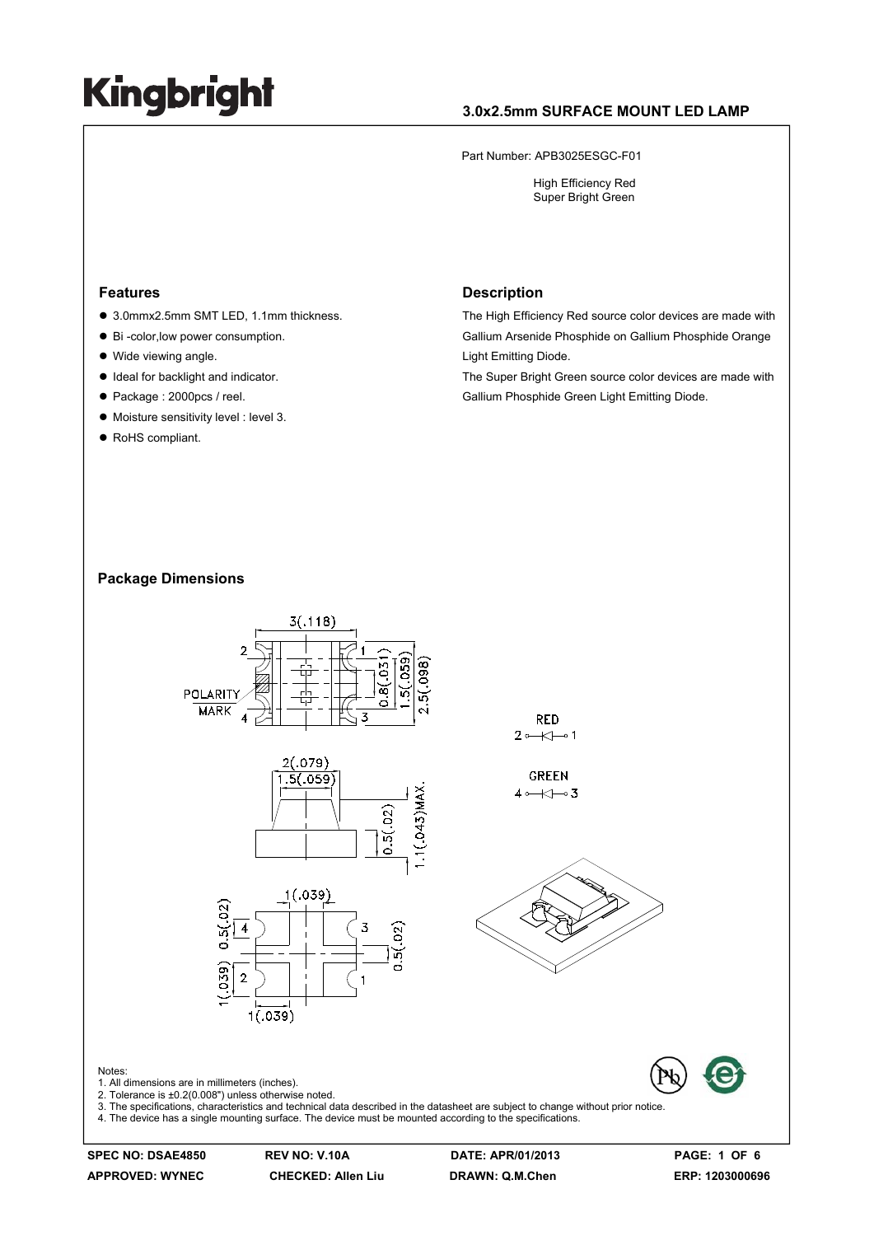### **3.0x2.5mm SURFACE MOUNT LED LAMP**

Part Number: APB3025ESGC-F01

 High Efficiency Red Super Bright Green

#### **Features**

- 3.0mmx2.5mm SMT LED, 1.1mm thickness.
- Bi -color, low power consumption.
- Wide viewing angle.
- $\bullet$  Ideal for backlight and indicator.
- Package : 2000pcs / reel.
- $\bullet$  Moisture sensitivity level : level 3.
- RoHS compliant.

#### **Description**

The High Efficiency Red source color devices are made with Gallium Arsenide Phosphide on Gallium Phosphide Orange Light Emitting Diode.

The Super Bright Green source color devices are made with Gallium Phosphide Green Light Emitting Diode.

#### **Package Dimensions**



**APPROVED: WYNEC CHECKED: Allen Liu DRAWN: Q.M.Chen ERP: 1203000696** 

**SPEC NO: DSAE4850 REV NO: V.10A DATE: APR/01/2013 PAGE: 1 OF 6**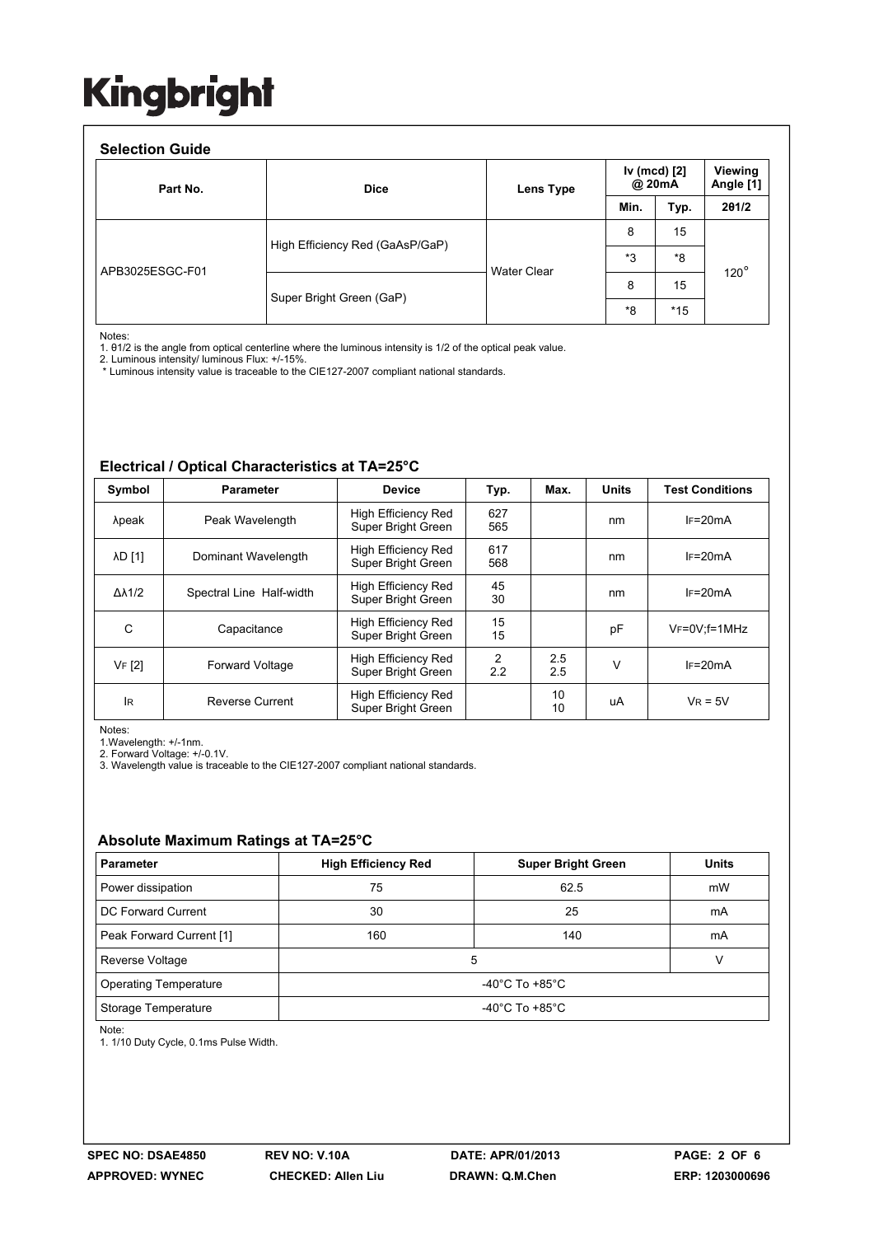#### **Selection Guide**

| Part No.        | <b>Dice</b>                     | Lens Type          | Iv (mcd) [2]<br>@ 20mA |       | Viewing<br>Angle [1] |
|-----------------|---------------------------------|--------------------|------------------------|-------|----------------------|
|                 |                                 |                    | Min.                   | Typ.  | 201/2                |
| APB3025ESGC-F01 | High Efficiency Red (GaAsP/GaP) | <b>Water Clear</b> | 8                      | 15    | $120^\circ$          |
|                 |                                 |                    | *3                     | *8    |                      |
|                 | Super Bright Green (GaP)        |                    | 8                      | 15    |                      |
|                 |                                 |                    | *8                     | $*15$ |                      |

Notes:

1. θ1/2 is the angle from optical centerline where the luminous intensity is 1/2 of the optical peak value.

2. Luminous intensity/ luminous Flux: +/-15%.

\* Luminous intensity value is traceable to the CIE127-2007 compliant national standards.

#### **Electrical / Optical Characteristics at TA=25°C**

| Symbol              | Parameter                | <b>Device</b>                                    | Typ.       | Max.       | <b>Units</b> | <b>Test Conditions</b> |  |
|---------------------|--------------------------|--------------------------------------------------|------------|------------|--------------|------------------------|--|
| λpeak               | Peak Wavelength          | High Efficiency Red<br>Super Bright Green        | 627<br>565 |            | nm           | $IF=20mA$              |  |
| <b>AD [1]</b>       | Dominant Wavelength      | High Efficiency Red<br>Super Bright Green        | 617<br>568 |            | nm           | $IF=20mA$              |  |
| $\Delta\lambda$ 1/2 | Spectral Line Half-width | <b>High Efficiency Red</b><br>Super Bright Green | 45<br>30   |            | nm           | $IF=20mA$              |  |
| C                   | Capacitance              | High Efficiency Red<br>Super Bright Green        | 15<br>15   |            | рF           | $V_F = 0V$ : f = 1 MHz |  |
| VF [2]              | <b>Forward Voltage</b>   | High Efficiency Red<br>Super Bright Green        | 2<br>2.2   | 2.5<br>2.5 | v            | $IF=20mA$              |  |
| lR.                 | Reverse Current          | High Efficiency Red<br>Super Bright Green        |            | 10<br>10   | uA           | $V_R = 5V$             |  |

Notes:

1.Wavelength: +/-1nm.

2. Forward Voltage: +/-0.1V.

3. Wavelength value is traceable to the CIE127-2007 compliant national standards.

#### **Absolute Maximum Ratings at TA=25°C**

| <b>Parameter</b>             | <b>High Efficiency Red</b>           | <b>Super Bright Green</b> | <b>Units</b> |  |  |
|------------------------------|--------------------------------------|---------------------------|--------------|--|--|
| Power dissipation            | 75                                   | 62.5                      | mW           |  |  |
| DC Forward Current           | 30                                   | 25                        | mA           |  |  |
| Peak Forward Current [1]     | 160                                  | 140                       | mA           |  |  |
| Reverse Voltage              | 5                                    |                           |              |  |  |
| <b>Operating Temperature</b> | -40 $^{\circ}$ C To +85 $^{\circ}$ C |                           |              |  |  |
| Storage Temperature          | -40 $^{\circ}$ C To +85 $^{\circ}$ C |                           |              |  |  |

Note:

1. 1/10 Duty Cycle, 0.1ms Pulse Width.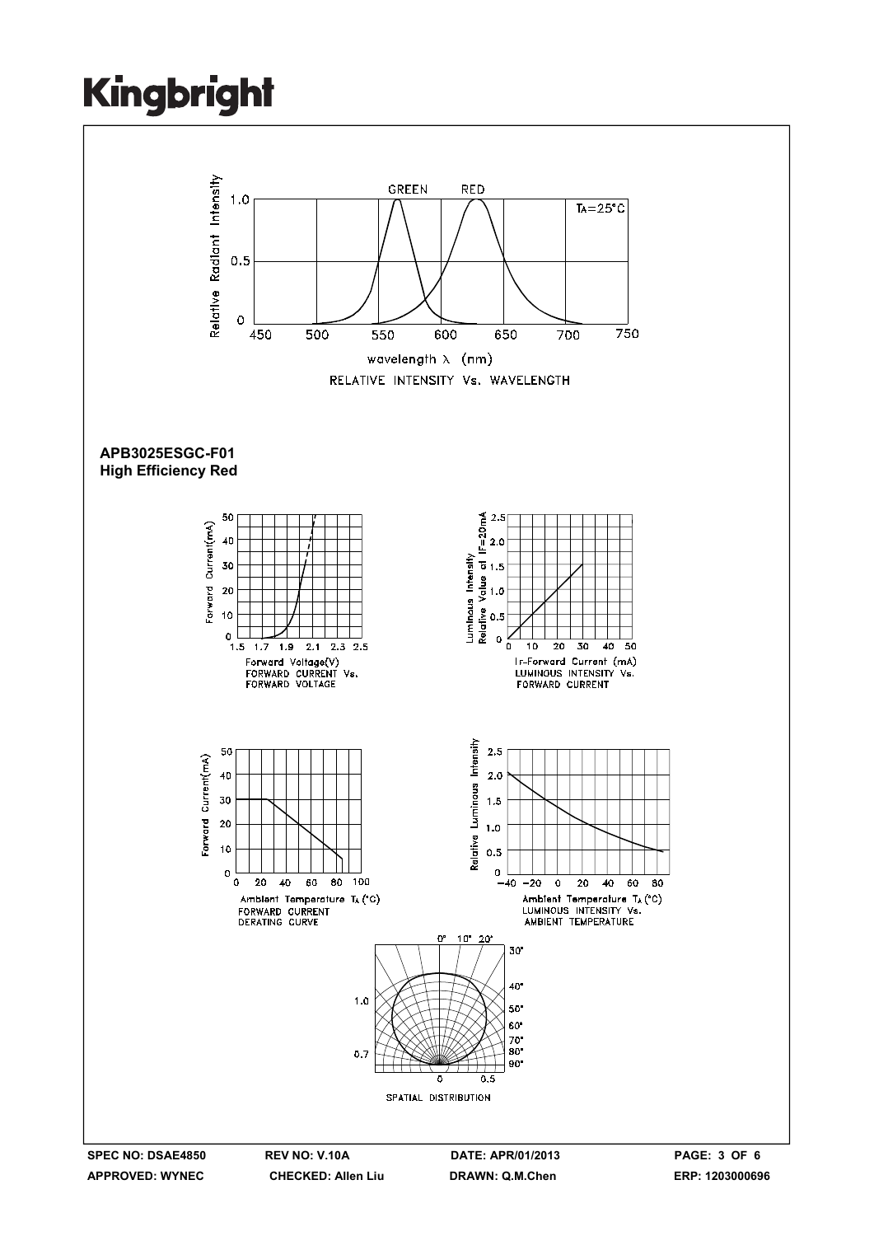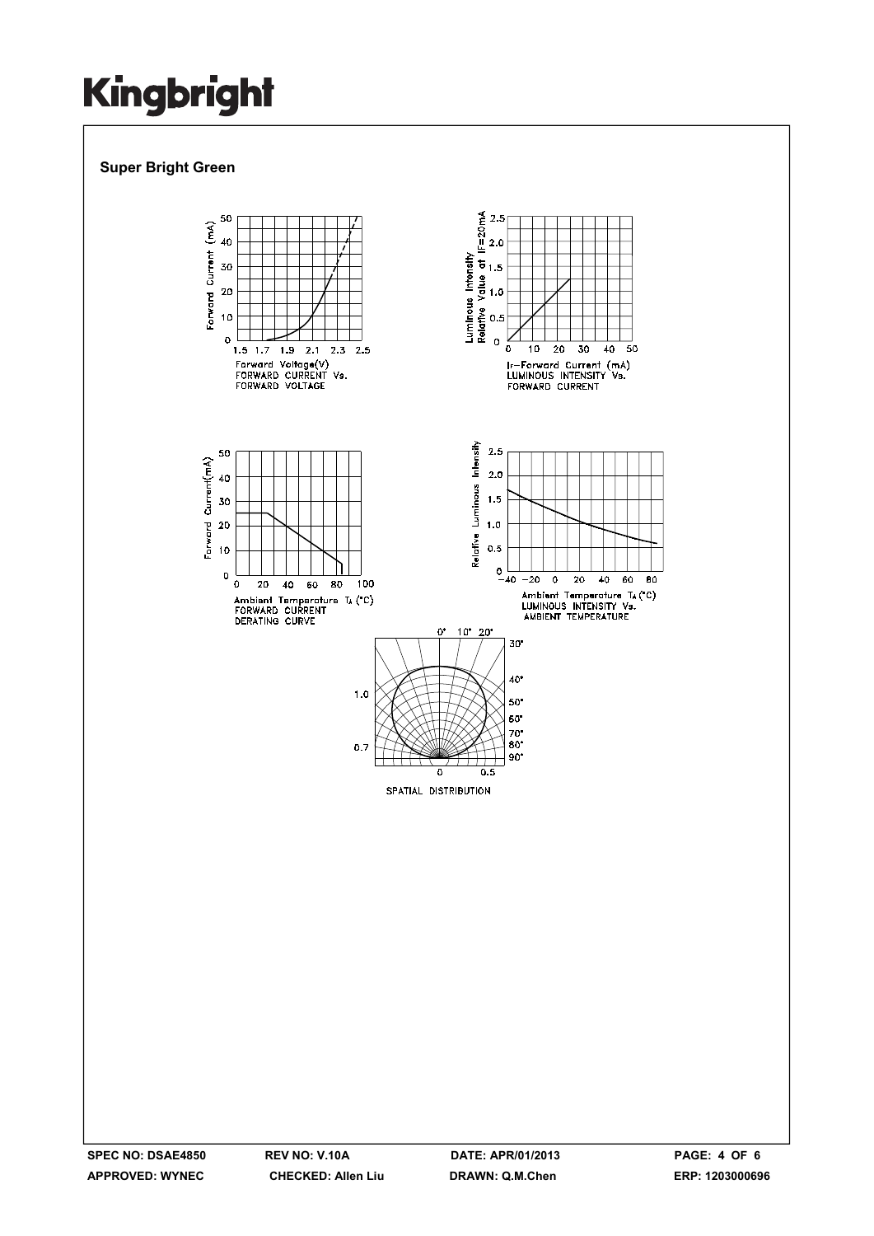### **Super Bright Green**

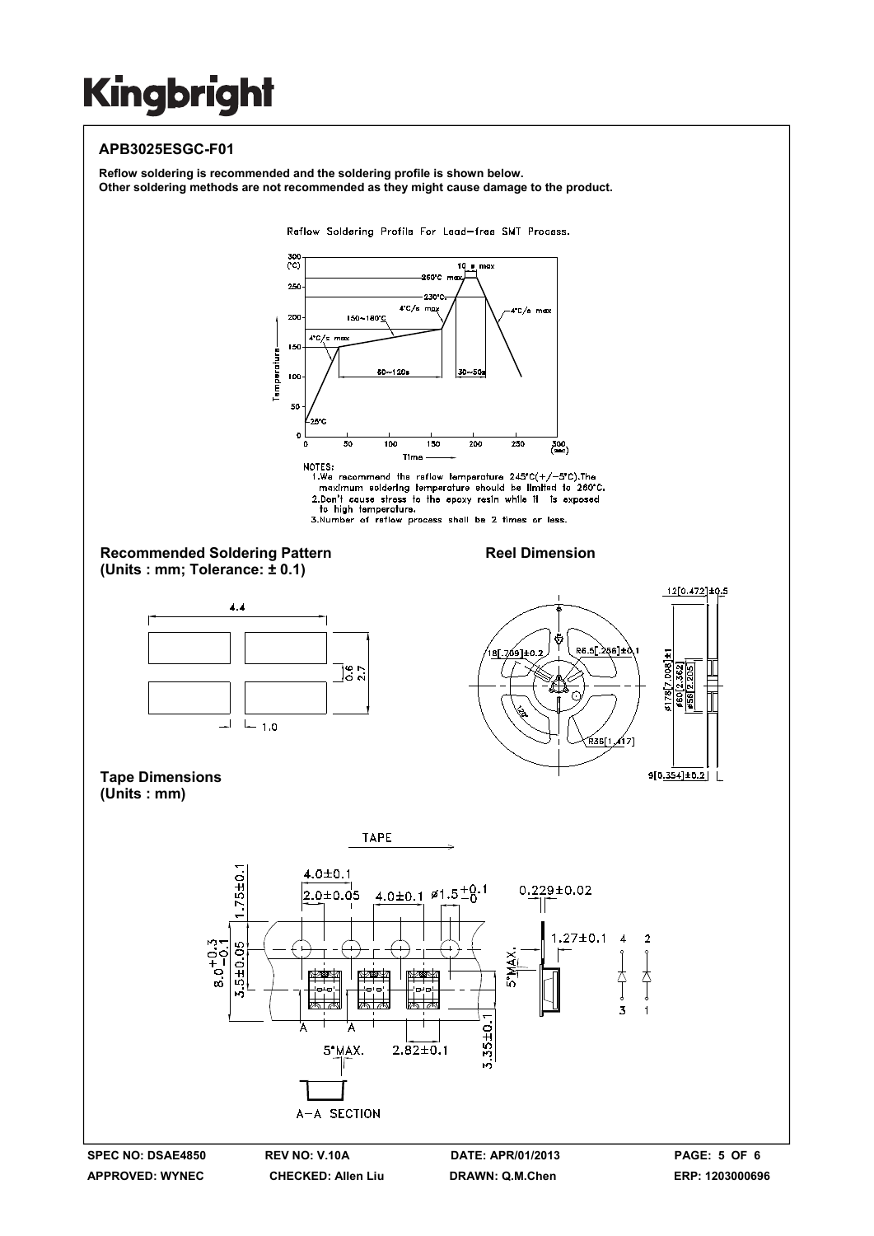### **APB3025ESGC-F01**

**Reflow soldering is recommended and the soldering profile is shown below. Other soldering methods are not recommended as they might cause damage to the product.**